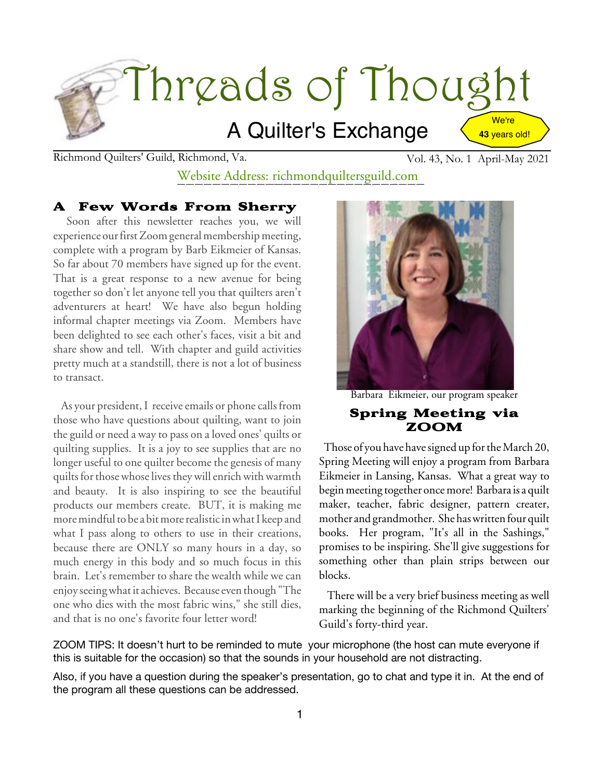

Richmond Quilters' Guild, Richmond, Va. Vol. 43, No. 1 April-May 2021

# Website Address: richmondquiltersguild.com

#### A Few Words From Sherry

Soon after this newsletter reaches you, we will experience our first Zoom general membership meeting, complete with a program by Barb Eikmeier of Kansas. So far about 70 members have signed up for the event. That is a great response to a new avenue for being together so don't let anyone tell you that quilters aren't adventurers at heart! We have also begun holding informal chapter meetings via Zoom. Members have been delighted to see each other's faces, visit a bit and share show and tell. With chapter and guild activities pretty much at a standstill, there is not a lot of business to transact.

As your president, I receive emails or phone calls from those who have questions about quilting, want to join the guild or need a way to pass on a loved ones' quilts or quilting supplies. It is a joy to see supplies that are no longer useful to one quilter become the genesis of many quilts for those whose lives they will enrich with warmth and beauty. It is also inspiring to see the beautiful products our members create. BUT, it is making me more mindful to be a bit more realistic in what I keep and what I pass along to others to use in their creations, because there are ONLY so many hours in a day, so much energy in this body and so much focus in this brain. Let's remember to share the wealth while we can enjoy seeing what it achieves. Because even though "The one who dies with the most fabric wins," she still dies, and that is no one's favorite four letter word!



Barbara Eikmeier, our program speaker

#### Spring Meeting via ZOOM

Those of you have have signed up for the March 20, Spring Meeting will enjoy a program from Barbara Eikmeier in Lansing, Kansas. What a great way to beginmeeting together oncemore! Barbara is a quilt maker, teacher, fabric designer, pattern creater, mother and grandmother. She haswritten four quilt books. Her program, "It's all in the Sashings," promises to be inspiring. She'll give suggestions for something other than plain strips between our blocks.

There will be a very brief business meeting as well marking the beginning of the Richmond Quilters' Guild's forty-third year.

ZOOM TIPS: It doesn't hurt to be reminded to mute your microphone (the host can mute everyone if this is suitable for the occasion) so that the sounds in your household are not distracting.

Also, if you have a question during the speaker's presentation, go to chat and type it in. At the end of the program all these questions can be addressed.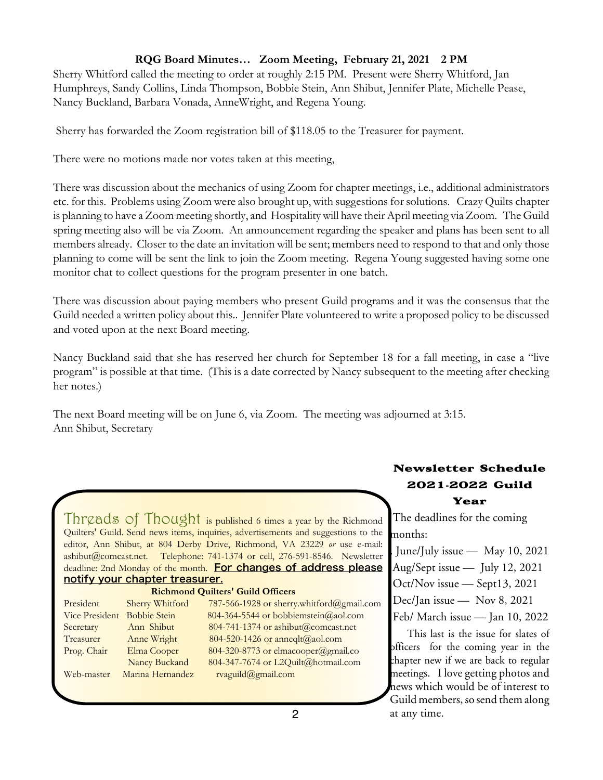#### **RQG Board Minutes… Zoom Meeting, February 21, 2021 2 PM**

Sherry Whitford called the meeting to order at roughly 2:15 PM. Present were Sherry Whitford, Jan Humphreys, Sandy Collins, Linda Thompson, Bobbie Stein, Ann Shibut, Jennifer Plate, Michelle Pease, Nancy Buckland, Barbara Vonada, AnneWright, and Regena Young.

Sherry has forwarded the Zoom registration bill of \$118.05 to the Treasurer for payment.

There were no motions made nor votes taken at this meeting,

There was discussion about the mechanics of using Zoom for chapter meetings, i.e., additional administrators etc. for this. Problems using Zoom were also brought up, with suggestions for solutions. Crazy Quilts chapter is planning to have a Zoom meeting shortly, and Hospitality will have their April meeting via Zoom. The Guild spring meeting also will be via Zoom. An announcement regarding the speaker and plans has been sent to all members already. Closer to the date an invitation will be sent; members need to respond to that and only those planning to come will be sent the link to join the Zoom meeting. Regena Young suggested having some one monitor chat to collect questions for the program presenter in one batch.

There was discussion about paying members who present Guild programs and it was the consensus that the Guild needed a written policy about this.. Jennifer Plate volunteered to write a proposed policy to be discussed and voted upon at the next Board meeting.

Nancy Buckland said that she has reserved her church for September 18 for a fall meeting, in case a "live program" is possible at that time. (This is a date corrected by Nancy subsequent to the meeting after checking her notes.)

The next Board meeting will be on June 6, via Zoom. The meeting was adjourned at 3:15. Ann Shibut, Secretary

Threads of Thought is published 6 times a year by the Richmond Quilters' Guild. Send news items, inquiries, advertisements and suggestions to the editor, Ann Shibut, at 804 Derby Drive, Richmond, VA 23229 *or* use e-mail: ashibut@comcast.net. Telephone: 741-1374 or cell, 276-591-8546. Newsletter deadline: 2nd Monday of the month. For changes of address please notify your chapter treasurer.

#### **Richmond Quilters' Guild Officers**

| President                   | Sherry Whitford  | 787-566-1928 or sherry.whitford@gmail.com |
|-----------------------------|------------------|-------------------------------------------|
| Vice President Bobbie Stein |                  | 804-364-5544 or bobbiemstein@aol.com      |
| Secretary                   | Ann Shibut       | 804-741-1374 or ashibut@comcast.net       |
| Treasurer                   | Anne Wright      | 804-520-1426 or anneqlt@aol.com           |
| Prog. Chair                 | Elma Cooper      | 804-320-8773 or elmacooper@gmail.co       |
|                             | Nancy Buckand    | 804-347-7674 or L2Quilt@hotmail.com       |
| Web-master                  | Marina Hernandez | rvaguild@gmail.com                        |

# Newsletter Schedule 2021**-**2022 Guild

#### Year

The deadlines for the coming months:

- . June/July issue May 10, 2021
- Aug/Sept issue July 12, 2021
- Oct/Nov issue Sept13, 2021
- Dec/Jan issue Nov 8, 2021
- Feb/ March issue Jan 10, 2022

This last is the issue for slates of officers for the coming year in the chapter new if we are back to regular meetings. I love getting photos and news which would be of interest to Guild members, so send them along at any time.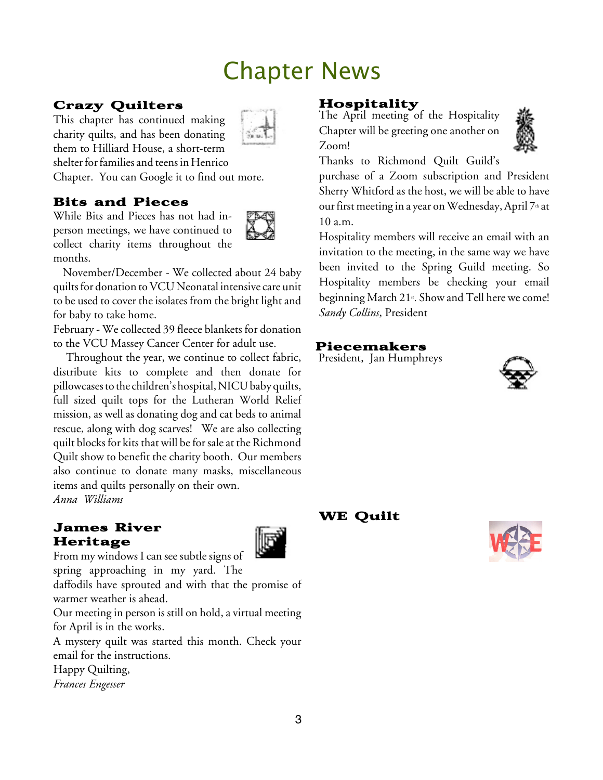# Chapter News

## Crazy Quilters

This chapter has continued making charity quilts, and has been donating them to Hilliard House, a short-term shelter for families and teens in Henrico Chapter. You can Google it to find out more.

### Bits and Pieces

While Bits and Pieces has not had inperson meetings, we have continued to collect charity items throughout the months.



November/December - We collected about 24 baby quilts for donation to VCU Neonatal intensive care unit to be used to cover the isolates from the bright light and for baby to take home.

February - We collected 39 fleece blankets for donation to the VCU Massey Cancer Center for adult use.

Throughout the year, we continue to collect fabric, distribute kits to complete and then donate for pillowcases to the children's hospital, NICU baby quilts, full sized quilt tops for the Lutheran World Relief mission, as well as donating dog and cat beds to animal rescue, along with dog scarves! We are also collecting quilt blocks for kits that will be for sale at the Richmond Quilt show to benefit the charity booth. Our members also continue to donate many masks, miscellaneous items and quilts personally on their own. *Anna Williams*

#### James River Heritage



From my windows I can see subtle signs of

spring approaching in my yard. The

daffodils have sprouted and with that the promise of warmer weather is ahead.

Our meeting in person is still on hold, a virtual meeting for April is in the works.

A mystery quilt was started this month. Check your email for the instructions.

Happy Quilting, *Frances Engesser*

**Hospitality**<br>The April meeting of the Hospitality Chapter will be greeting one another on Zoom!



Thanks to Richmond Quilt Guild's

purchase of a Zoom subscription and President Sherry Whitford as the host, we will be able to have our first meeting in a year on Wednesday, April  $7<sup>th</sup>$  at 10 a.m.

Hospitality members will receive an email with an invitation to the meeting, in the same way we have been invited to the Spring Guild meeting. So Hospitality members be checking your email beginning March 21<sub>s</sub>. Show and Tell here we come! *Sandy Collins*, President

### Piecemakers

President, Jan Humphreys



#### WE Quilt

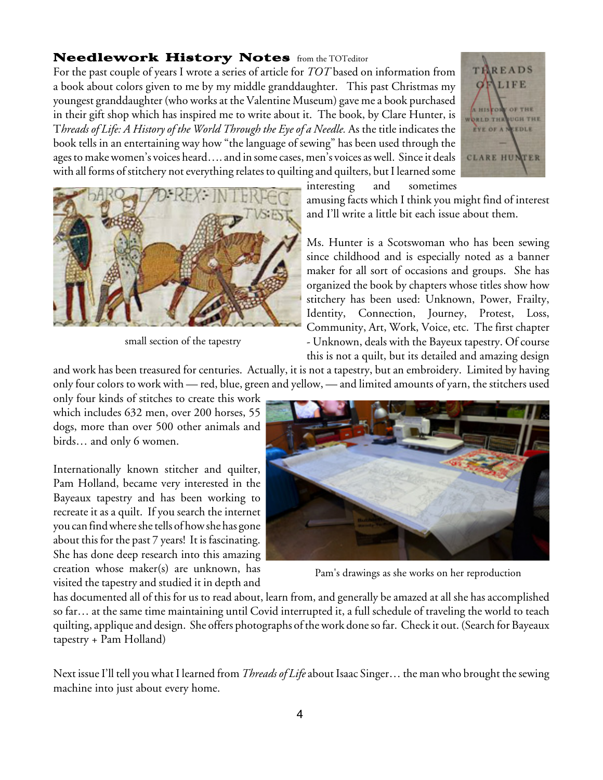#### Needlework History Notes from the TOTeditor

For the past couple of years I wrote a series of article for *TOT* based on information from a book about colors given to me by my middle granddaughter. This past Christmas my youngest granddaughter (who works at the Valentine Museum) gave me a book purchased in their gift shop which has inspired me to write about it. The book, by Clare Hunter, is T*hreads of Life: A History of the World Through the Eye of a Needle.* As the title indicates the book tells in an entertaining way how "the language of sewing" has been used through the ages to make women's voices heard.... and in some cases, men's voices as well. Since it deals with all forms of stitchery not everything relates to quilting and quilters, but I learned some





small section of the tapestry

amusing facts which I think you might find of interest and I'll write a little bit each issue about them.

interesting and sometimes

Ms. Hunter is a Scotswoman who has been sewing since childhood and is especially noted as a banner maker for all sort of occasions and groups. She has organized the book by chapters whose titles show how stitchery has been used: Unknown, Power, Frailty, Identity, Connection, Journey, Protest, Loss, Community, Art, Work, Voice, etc. The first chapter - Unknown, deals with the Bayeux tapestry. Of course this is not a quilt, but its detailed and amazing design

and work has been treasured for centuries. Actually, it is not a tapestry, but an embroidery. Limited by having only four colors to work with — red, blue, green and yellow, — and limited amounts of yarn, the stitchers used

only four kinds of stitches to create this work which includes 632 men, over 200 horses, 55 dogs, more than over 500 other animals and birds… and only 6 women.

Internationally known stitcher and quilter, Pam Holland, became very interested in the Bayeaux tapestry and has been working to recreate it as a quilt. If you search the internet you can findwhereshetells of howshe has gone about this for the past 7 years! It is fascinating. She has done deep research into this amazing creation whose maker(s) are unknown, has visited the tapestry and studied it in depth and



Pam's drawings as she works on her reproduction

has documented all of this for us to read about, learn from, and generally be amazed at all she has accomplished so far… at the same time maintaining until Covid interrupted it, a full schedule of traveling the world to teach quilting, applique and design. She offers photographs of thework doneso far. Check it out.(Search for Bayeaux tapestry + Pam Holland)

Next issueI'll tell you what I learned from *Threads of Life* about Isaac Singer… the man who brought thesewing machine into just about every home.